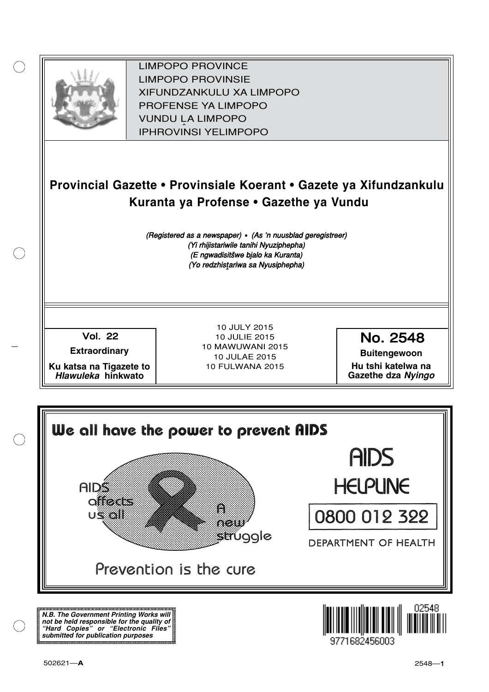

XIFUNDZANKULU XA LIMPOPO<br>PROFENCE XA LIMPORO PROFENSE YA LIMPOPO<br>WILDOLLA LIMPORO SOUTH A LIMPOPO<br>A LIPHROVINSI YELIMPOPO LIMPOPO PROVINCE LIMPOPO PROVINSIE IPHROVINSI YELIMPOPO

## **Provincial Gazette • Provinsiale Koerant • Gazete ya Xifundzankulu Kuranta ya Profense • Gazethe ya Vundu**

(Registered as a newspaper) • (As 'n nuusblad geregistreer) (Yi rhijistariwile tanihi Nyuziphepha) (E ngwadisitšwe bjalo ka Kuranta) (Yo redzhistariwa sa Nyusiphepha)

Vol.- 22

**Extraordinary**

**Ku katsa na Tigazete to Hlawuleka hinkwato**

10 JULY 2015 10 JULIE 2015 10 MAWUWANI 2015 10 JULAE 2015 10 FULWANA 2015

No. 2548

**Buitengewoon Hu tshi katelwa na Gazethe dza Nyingo**



**N.B. The Government Printing Works will not be held responsible for the quality of "Hard Copies" or "Electronic Files" submitted for publication purposes**

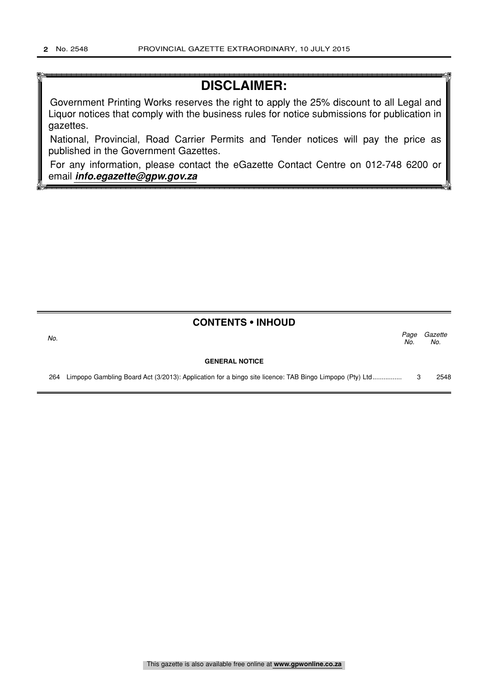## **DISCLAIMER:**

Government Printing Works reserves the right to apply the 25% discount to all Legal and Liquor notices that comply with the business rules for notice submissions for publication in gazettes.

National, Provincial, Road Carrier Permits and Tender notices will pay the price as published in the Government Gazettes.

For any information, please contact the eGazette Contact Centre on 012-748 6200 or email **info.egazette@gpw.gov.za**

| <b>CONTENTS • INHOUD</b> |  |
|--------------------------|--|
|--------------------------|--|

No.  $\sim$  No.

# **GENERAL NOTICE**

Page Gazette  $N<sub>O</sub>$ 

264 Limpopo Gambling Board Act (3/2013): Application for a bingo site licence: TAB Bingo Limpopo (Pty) Ltd................ 3 2548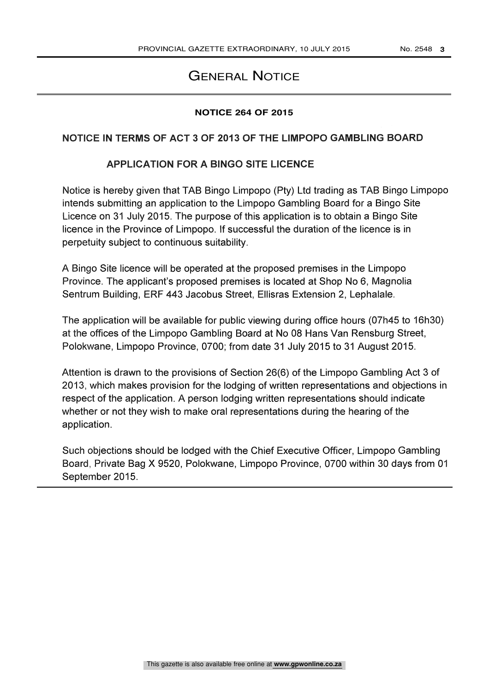### **GENERAL NOTICE**

#### **NOTICE 264 OF 2015**

### NOTICE IN TERMS OF ACT 3 OF 2013 OF THE LIMPOPO GAMBLING BOARD

### APPLICATION FOR A BINGO SITE LICENCE

Notice is hereby given that TAB Bingo Limpopo (Pty) Ltd trading as TAB Bingo Limpopo intends submitting an application to the Limpopo Gambling Board for a Bingo Site Licence on 31 July 2015. The purpose of this application is to obtain a Bingo Site licence in the Province of Limpopo. If successful the duration of the licence is in perpetuity subject to continuous suitability.

A Bingo Site licence will be operated at the proposed premises in the Limpopo Province. The applicant's proposed premises is located at Shop No 6, Magnolia Sentrum Building, ERF 443 Jacobus Street, Ellisras Extension 2, Lephalale.

The application will be available for public viewing during office hours (07h45 to 16h30) at the offices of the Limpopo Gambling Board at No 08 Hans Van Rensburg Street, Polokwane, Limpopo Province, 0700; from date 31 July 2015 to 31 August 2015.

Attention is drawn to the provisions of Section 26(6) of the Limpopo Gambling Act 3 of 2013, which makes provision for the lodging of written representations and objections in respect of the application. A person lodging written representations should indicate whether or not they wish to make oral representations during the hearing of the application.

Such objections should be lodged with the Chief Executive Officer, Limpopo Gambling Board, Private Bag X 9520, Polokwane, Limpopo Province, 0700 within 30 days from 01 September 2015.